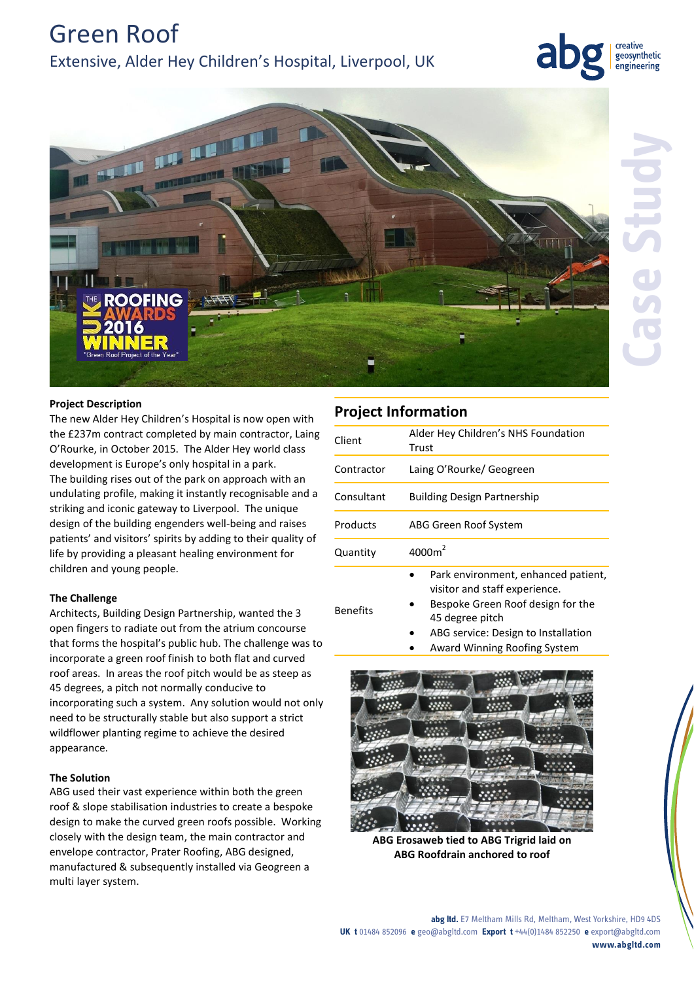Green Roof Extensive, Alder Hey Children's Hospital, Liverpool, UK







Benefits

# **Project Description**

The new Alder Hey Children's Hospital is now open with the £237m contract completed by main contractor, Laing O'Rourke, in October 2015. The Alder Hey world class development is Europe's only hospital in a park. The building rises out of the park on approach with an undulating profile, making it instantly recognisable and a striking and iconic gateway to Liverpool. The unique design of the building engenders well-being and raises patients' and visitors' spirits by adding to their quality of life by providing a pleasant healing environment for children and young people.

# **The Challenge**

Architects, Building Design Partnership, wanted the 3 open fingers to radiate out from the atrium concourse that forms the hospital's public hub. The challenge was to incorporate a green roof finish to both flat and curved roof areas. In areas the roof pitch would be as steep as 45 degrees, a pitch not normally conducive to incorporating such a system. Any solution would not only need to be structurally stable but also support a strict wildflower planting regime to achieve the desired appearance.

## **The Solution**

ABG used their vast experience within both the green roof & slope stabilisation industries to create a bespoke design to make the curved green roofs possible. Working closely with the design team, the main contractor and envelope contractor, Prater Roofing, ABG designed, manufactured & subsequently installed via Geogreen a multi layer system.

| <b>Project Information</b> |                                                                      |
|----------------------------|----------------------------------------------------------------------|
| Client                     | Alder Hey Children's NHS Foundation<br>Trust                         |
| Contractor                 | Laing O'Rourke/ Geogreen                                             |
| Consultant                 | <b>Building Design Partnership</b>                                   |
| Products                   | ABG Green Roof System                                                |
| Quantity                   | 4000m <sup>2</sup>                                                   |
|                            | Park environment, enhanced patient,<br>visitor and staff experience. |

- Bespoke Green Roof design for the 45 degree pitch
	- ABG service: Design to Installation
	- Award Winning Roofing System



**ABG Erosaweb tied to ABG Trigrid laid on ABG Roofdrain anchored to roof**

# **Case Study**

**abg ltd.** E7 Meltham Mills Rd, Meltham, West Yorkshire, HD9 4DS **UK t** 01484 852096 **e** geo@abgltd.com **Export t** +44(0)1484 852250 **e** export@abgltd.com **www.abgltd.com**